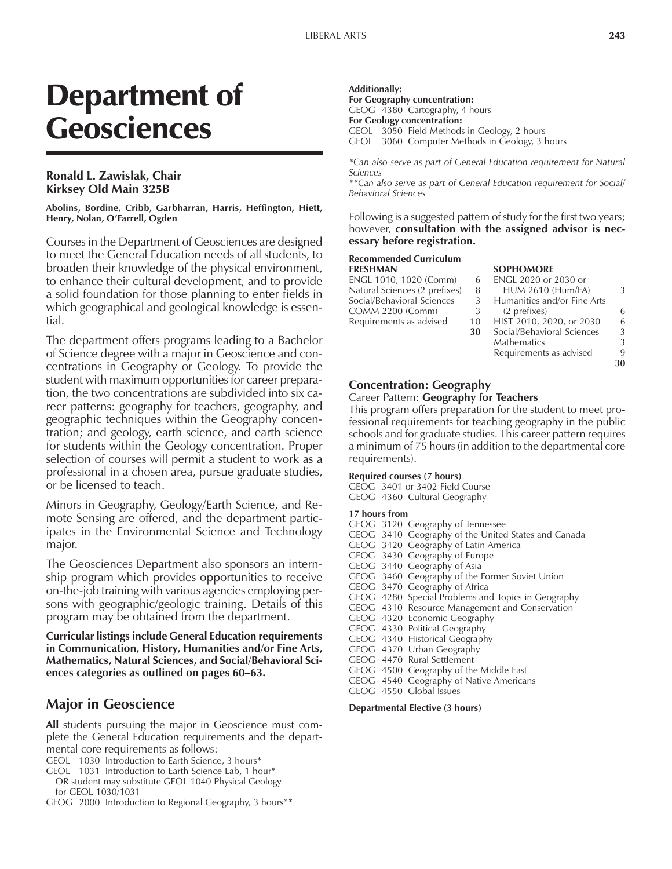# Department of **Geosciences**

## **Ronald L. Zawislak, Chair Kirksey Old Main 325B**

**Abolins, Bordine, Cribb, Garbharran, Harris, Heffington, Hiett, Henry, Nolan, O'Farrell, Ogden** 

Courses in the Department of Geosciences are designed to meet the General Education needs of all students, to broaden their knowledge of the physical environment, to enhance their cultural development, and to provide a solid foundation for those planning to enter fields in which geographical and geological knowledge is essential.

The department offers programs leading to a Bachelor of Science degree with a major in Geoscience and concentrations in Geography or Geology. To provide the student with maximum opportunities for career preparation, the two concentrations are subdivided into six career patterns: geography for teachers, geography, and geographic techniques within the Geography concentration; and geology, earth science, and earth science for students within the Geology concentration. Proper selection of courses will permit a student to work as a professional in a chosen area, pursue graduate studies, or be licensed to teach.

Minors in Geography, Geology/Earth Science, and Remote Sensing are offered, and the department participates in the Environmental Science and Technology major.

The Geosciences Department also sponsors an internship program which provides opportunities to receive on-the-job training with various agencies employing persons with geographic/geologic training. Details of this program may be obtained from the department.

**Curricular listings include General Education requirements in Communication, History, Humanities and/or Fine Arts, Mathematics, Natural Sciences, and Social/Behavioral Sci**ences categories as outlined on pages 60–63.

## **Major in Geoscience**

**All** students pursuing the major in Geoscience must complete the General Education requirements and the departmental core requirements as follows:

- GEOL 1030 Introduction to Earth Science, 3 hours\*
- GEOL 1031 Introduction to Earth Science Lab, 1 hour\* OR student may substitute GEOL 1040 Physical Geology for GEOL 1030/1031
- GEOG 2000 Introduction to Regional Geography, 3 hours\*\*

**Additionally: For Geography concentration:** GEOG 4380 Cartography, 4 hours **For Geology concentration:** GEOL 3050 Field Methods in Geology, 2 hours

GEOL 3060 Computer Methods in Geology, 3 hours

*\*Can also serve as part of General Education requirement for Natural Sciences*

*\*\*Can also serve as part of General Education requirement for Social/ Behavioral Sciences*

Following is a suggested pattern of study for the first two years; however, **consultation with the assigned advisor is necessary before registration.**

#### **Recommended Curriculum FRESHMAN SOPHOMORE**

ENGL 1010, 1020 (Comm) 6<br>Natural Sciences (2 prefixes) 8 Natural Sciences (2 prefixes) Social/Behavioral Sciences 3 COMM 2200 (Comm) 3<br>Requirements as advised 10 Requirements as advised

|    | SUPFIUMWAF                  |   |
|----|-----------------------------|---|
| 6  | <b>ENGL 2020 or 2030 or</b> |   |
| 8  | <b>HUM 2610 (Hum/FA)</b>    | 3 |
| 3  | Humanities and/or Fine Arts |   |
| 3  | (2 prefixes)                | 6 |
| 10 | HIST 2010, 2020, or 2030    | 6 |
| 30 | Social/Behavioral Sciences  | 3 |
|    | Mathematics                 | 3 |
|    | Requirements as advised     | q |
|    |                             |   |
|    |                             |   |

## **Concentration: Geography**

## Career Pattern: **Geography for Teachers**

This program offers preparation for the student to meet professional requirements for teaching geography in the public schools and for graduate studies. This career pattern requires a minimum of 75 hours (in addition to the departmental core requirements).

#### **Required courses (7 hours)**

GEOG 3401 or 3402 Field Course

#### GEOG 4360 Cultural Geography **17 hours from**

| TZ NOUES IFOIN |  |                                                     |  |  |
|----------------|--|-----------------------------------------------------|--|--|
|                |  | GEOG 3120 Geography of Tennessee                    |  |  |
|                |  | GEOG 3410 Geography of the United States and Canada |  |  |
|                |  | GEOG 3420 Geography of Latin America                |  |  |
|                |  | GEOG 3430 Geography of Europe                       |  |  |
|                |  | GEOG 3440 Geography of Asia                         |  |  |
|                |  | GEOG 3460 Geography of the Former Soviet Union      |  |  |
|                |  | GEOG 3470 Geography of Africa                       |  |  |
|                |  | GEOG 4280 Special Problems and Topics in Geography  |  |  |
|                |  | GEOG 4310 Resource Management and Conservation      |  |  |
|                |  | GEOG 4320 Economic Geography                        |  |  |
|                |  | GEOG 4330 Political Geography                       |  |  |
|                |  | GEOG 4340 Historical Geography                      |  |  |
|                |  | GEOG 4370 Urban Geography                           |  |  |
|                |  | GEOG 4470 Rural Settlement                          |  |  |
|                |  | GEOG 4500 Geography of the Middle East              |  |  |
|                |  | GEOG 4540 Geography of Native Americans             |  |  |
|                |  | $CTOC = 1220$ $C1 - 11 - 12$                        |  |  |

GEOG 4550 Global Issues

#### **Departmental Elective (3 hours)**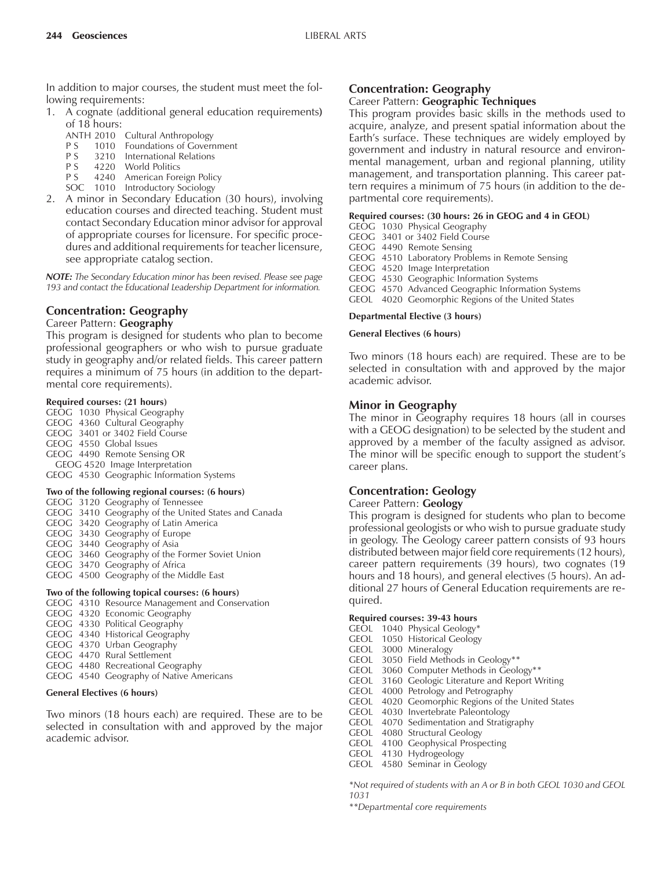In addition to major courses, the student must meet the following requirements:

- 1. A cognate (additional general education requirements**)** of 18 hours:
	- ANTH 2010 Cultural Anthropology<br>P S 1010 Foundations of Goverr
	- 1010 Foundations of Government
	- P S 3210 International Relations<br>P S 4220 World Politics
	- 4220 World Politics
	- P S 4240 American Foreign Policy
	- SOC 1010 Introductory Sociology
- 2. A minor in Secondary Education (30 hours), involving education courses and directed teaching. Student must contact Secondary Education minor advisor for approval of appropriate courses for licensure. For specific procedures and additional requirements for teacher licensure, see appropriate catalog section.

*NOTE: The Secondary Education minor has been revised. Please see page 193 and contact the Educational Leadership Department for information.*

## **Concentration: Geography**

#### Career Pattern: **Geography**

This program is designed for students who plan to become professional geographers or who wish to pursue graduate study in geography and/or related fields. This career pattern requires a minimum of 75 hours (in addition to the departmental core requirements).

#### **Required courses: (21 hours)**

GEOG 1030 Physical Geography GEOG 4360 Cultural Geography GEOG 3401 or 3402 Field Course GEOG 4550 Global Issues GEOG 4490 Remote Sensing OR GEOG 4520 Image Interpretation GEOG 4530 Geographic Information Systems

#### **Two of the following regional courses: (6 hours)**

- GEOG 3120 Geography of Tennessee GEOG 3410 Geography of the United States and Canada GEOG 3420 Geography of Latin America GEOG 3430 Geography of Europe GEOG 3440 Geography of Asia GEOG 3460 Geography of the Former Soviet Union GEOG 3470 Geography of Africa GEOG 4500 Geography of the Middle East **Two of the following topical courses: (6 hours)**
- GEOG 4310 Resource Management and Conservation
- GEOG 4320 Economic Geography
- GEOG 4330 Political Geography
- GEOG 4340 Historical Geography
- GEOG 4370 Urban Geography
- GEOG 4470 Rural Settlement
- GEOG 4480 Recreational Geography
- GEOG 4540 Geography of Native Americans

## **General Electives (6 hours)**

Two minors (18 hours each) are required. These are to be selected in consultation with and approved by the major academic advisor.

# **Concentration: Geography**

## Career Pattern: **Geographic Techniques**

This program provides basic skills in the methods used to acquire, analyze, and present spatial information about the Earth's surface. These techniques are widely employed by government and industry in natural resource and environmental management, urban and regional planning, utility management, and transportation planning. This career pattern requires a minimum of 75 hours (in addition to the departmental core requirements).

## **Required courses: (30 hours: 26 in GEOG and 4 in GEOL)**

GEOG 1030 Physical Geography

GEOG 3401 or 3402 Field Course

GEOG 4490 Remote Sensing

GEOG 4510 Laboratory Problems in Remote Sensing

GEOG 4520 Image Interpretation

- GEOG 4530 Geographic Information Systems
- GEOG 4570 Advanced Geographic Information Systems
- GEOL 4020 Geomorphic Regions of the United States

## **Departmental Elective (3 hours)**

## **General Electives (6 hours)**

Two minors (18 hours each) are required. These are to be selected in consultation with and approved by the major academic advisor.

## **Minor in Geography**

The minor in Geography requires 18 hours (all in courses with a GEOG designation) to be selected by the student and approved by a member of the faculty assigned as advisor. The minor will be specific enough to support the student's career plans.

## **Concentration: Geology**

#### Career Pattern: **Geology**

This program is designed for students who plan to become professional geologists or who wish to pursue graduate study in geology. The Geology career pattern consists of 93 hours distributed between major field core requirements (12 hours), career pattern requirements (39 hours), two cognates (19 hours and 18 hours), and general electives (5 hours). An additional 27 hours of General Education requirements are required.

#### **Required courses: 39-43 hours**

- GEOL 1040 Physical Geology\*
- GEOL 1050 Historical Geology
- GEOL 3000 Mineralogy
- GEOL 3050 Field Methods in Geology\*\*
- GEOL 3060 Computer Methods in Geology\*\*
- GEOL 3160 Geologic Literature and Report Writing
- GEOL 4000 Petrology and Petrography
- GEOL 4020 Geomorphic Regions of the United States
- GEOL 4030 Invertebrate Paleontology
- GEOL 4070 Sedimentation and Stratigraphy
- GEOL 4080 Structural Geology
- GEOL 4100 Geophysical Prospecting
- GEOL 4130 Hydrogeology
- GEOL 4580 Seminar in Geology

*\*Not required of students with an A or B in both GEOL 1030 and GEOL 1031*

*\*\*Departmental core requirements*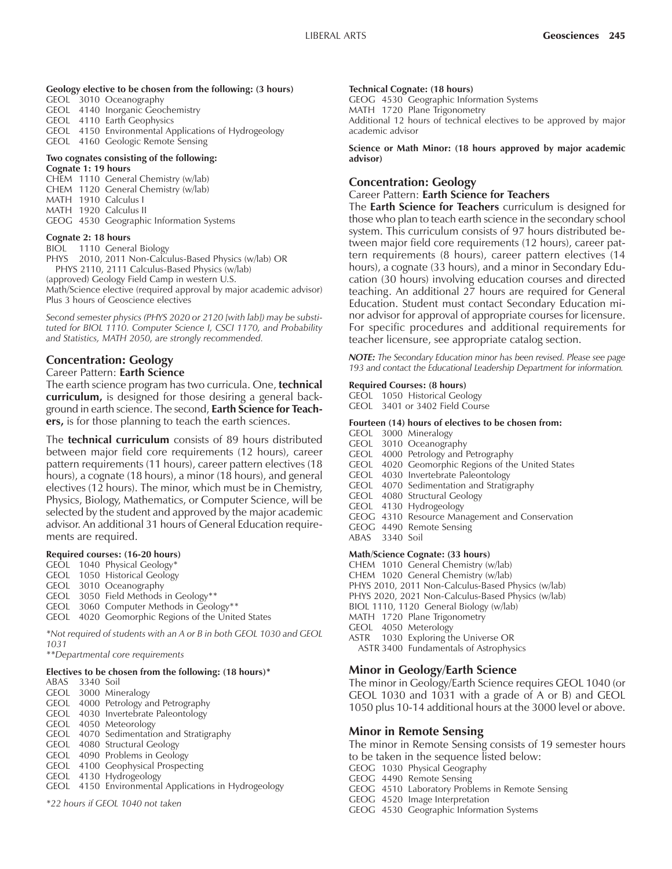#### **Geology elective to be chosen from the following: (3 hours)**

GEOL 3010 Oceanography

- GEOL 4140 Inorganic Geochemistry
- GEOL 4110 Earth Geophysics
- GEOL 4150 Environmental Applications of Hydrogeology GEOL 4160 Geologic Remote Sensing

#### **Two cognates consisting of the following:**

#### **Cognate 1: 19 hours**

CHEM 1110 General Chemistry (w/lab) CHEM 1120 General Chemistry (w/lab) MATH 1910 Calculus I MATH 1920 Calculus II GEOG 4530 Geographic Information Systems

#### **Cognate 2: 18 hours**

BIOL 1110 General Biology

PHYS 2010, 2011 Non-Calculus-Based Physics (w/lab) OR PHYS 2110, 2111 Calculus-Based Physics (w/lab) (approved) Geology Field Camp in western U.S. Math/Science elective (required approval by major academic advisor) Plus 3 hours of Geoscience electives

*Second semester physics (PHYS 2020 or 2120 [with lab]) may be substituted for BIOL 1110. Computer Science I, CSCI 1170, and Probability and Statistics, MATH 2050, are strongly recommended.*

## **Concentration: Geology**

#### Career Pattern: **Earth Science**

The earth science program has two curricula. One, **technical curriculum,** is designed for those desiring a general background in earth science. The second, **Earth Science for Teachers,** is for those planning to teach the earth sciences.

The **technical curriculum** consists of 89 hours distributed between major field core requirements (12 hours), career pattern requirements (11 hours), career pattern electives (18 hours), a cognate (18 hours), a minor (18 hours), and general electives (12 hours). The minor, which must be in Chemistry, Physics, Biology, Mathematics, or Computer Science, will be selected by the student and approved by the major academic advisor. An additional 31 hours of General Education requirements are required.

#### **Required courses: (16-20 hours)**

- GEOL 1040 Physical Geology\*
- GEOL 1050 Historical Geology
- GEOL 3010 Oceanography
- GEOL 3050 Field Methods in Geology\*\*
- GEOL 3060 Computer Methods in Geology\*\*
- GEOL 4020 Geomorphic Regions of the United States

*\*Not required of students with an A or B in both GEOL 1030 and GEOL 1031*

*\*\*Departmental core requirements*

## **Electives to be chosen from the following: (18 hours)\***

```
ABAS 3340 Soil
GEOL 3000 Mineralogy
```
- GEOL 4000 Petrology and Petrography GEOL 4030 Invertebrate Paleontology
- GEOL 4050 Meteorology
- GEOL 4070 Sedimentation and Stratigraphy
- GEOL 4080 Structural Geology
- GEOL 4090 Problems in Geology
- GEOL 4100 Geophysical Prospecting
- GEOL 4130 Hydrogeology
- GEOL 4150 Environmental Applications in Hydrogeology

*\*22 hours if GEOL 1040 not taken*

#### **Technical Cognate: (18 hours)**

GEOG 4530 Geographic Information Systems MATH 1720 Plane Trigonometry Additional 12 hours of technical electives to be approved by major academic advisor

**Science or Math Minor: (18 hours approved by major academic advisor)**

## **Concentration: Geology**

#### Career Pattern: **Earth Science for Teachers**

The **Earth Science for Teachers** curriculum is designed for those who plan to teach earth science in the secondary school system. This curriculum consists of 97 hours distributed between major field core requirements (12 hours), career pattern requirements (8 hours), career pattern electives (14 hours), a cognate (33 hours), and a minor in Secondary Education (30 hours) involving education courses and directed teaching. An additional 27 hours are required for General Education. Student must contact Secondary Education minor advisor for approval of appropriate courses for licensure. For specific procedures and additional requirements for teacher licensure, see appropriate catalog section.

*NOTE: The Secondary Education minor has been revised. Please see page 193 and contact the Educational Leadership Department for information.*

#### **Required Courses: (8 hours)**

GEOL 1050 Historical Geology

GEOL 3401 or 3402 Field Course

#### **Fourteen (14) hours of electives to be chosen from:**

- GEOL 3000 Mineralogy
- GEOL 3010 Oceanography
- GEOL 4000 Petrology and Petrography
- GEOL 4020 Geomorphic Regions of the United States
- GEOL 4030 Invertebrate Paleontology
- GEOL 4070 Sedimentation and Stratigraphy
- GEOL 4080 Structural Geology
- GEOL 4130 Hydrogeology
- GEOG 4310 Resource Management and Conservation
- GEOG 4490 Remote Sensing
- ABAS 3340 Soil

#### **Math/Science Cognate: (33 hours)**

- CHEM 1010 General Chemistry (w/lab)
- CHEM 1020 General Chemistry (w/lab)
- PHYS 2010, 2011 Non-Calculus-Based Physics (w/lab)
- PHYS 2020, 2021 Non-Calculus-Based Physics (w/lab)
- BIOL 1110, 1120 General Biology (w/lab)
- MATH 1720 Plane Trigonometry
- GEOL 4050 Meterology
- ASTR 1030 Exploring the Universe OR ASTR 3400 Fundamentals of Astrophysics

## **Minor in Geology/Earth Science**

The minor in Geology/Earth Science requires GEOL 1040 (or GEOL 1030 and 1031 with a grade of A or B) and GEOL 1050 plus 10-14 additional hours at the 3000 level or above.

## **Minor in Remote Sensing**

The minor in Remote Sensing consists of 19 semester hours to be taken in the sequence listed below:

- GEOG 1030 Physical Geography
- GEOG 4490 Remote Sensing
- GEOG 4510 Laboratory Problems in Remote Sensing
- GEOG 4520 Image Interpretation
- GEOG 4530 Geographic Information Systems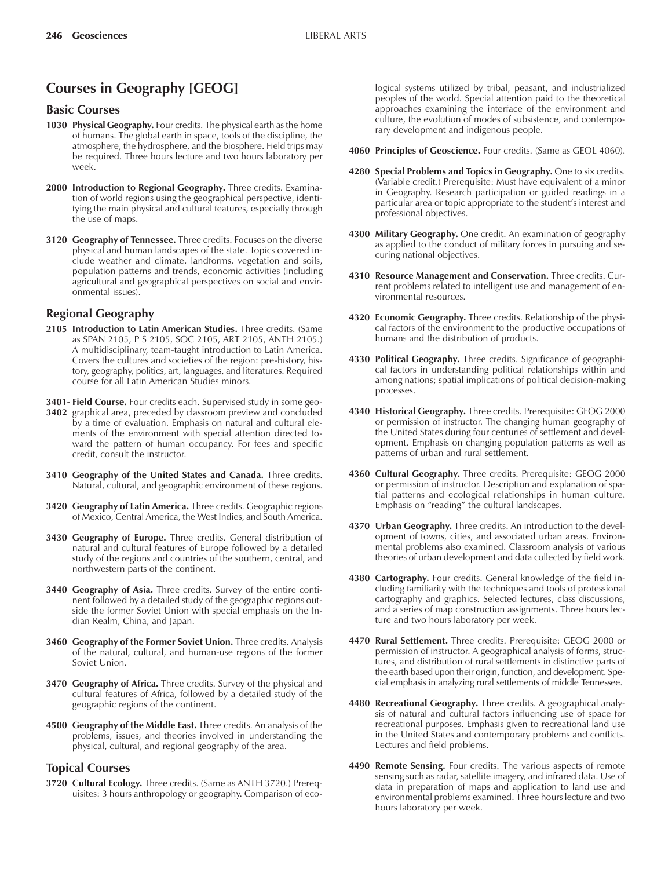# **Courses in Geography [GEOG]**

#### **Basic Courses**

- **1030 Physical Geography.** Four credits. The physical earth as the home of humans. The global earth in space, tools of the discipline, the atmosphere, the hydrosphere, and the biosphere. Field trips may be required. Three hours lecture and two hours laboratory per week.
- **2000 Introduction to Regional Geography.** Three credits. Examination of world regions using the geographical perspective, identifying the main physical and cultural features, especially through the use of maps.
- **3120 Geography of Tennessee.** Three credits. Focuses on the diverse physical and human landscapes of the state. Topics covered include weather and climate, landforms, vegetation and soils, population patterns and trends, economic activities (including agricultural and geographical perspectives on social and environmental issues).

## **Regional Geography**

- **2105 Introduction to Latin American Studies.** Three credits. (Same as SPAN 2105, P S 2105, SOC 2105, ART 2105, ANTH 2105.) A multidisciplinary, team-taught introduction to Latin America. Covers the cultures and societies of the region: pre-history, history, geography, politics, art, languages, and literatures. Required course for all Latin American Studies minors.
- **3401- Field Course.** Four credits each. Supervised study in some geo-
- **3402** graphical area, preceded by classroom preview and concluded by a time of evaluation. Emphasis on natural and cultural elements of the environment with special attention directed toward the pattern of human occupancy. For fees and specific credit, consult the instructor.
- **3410 Geography of the United States and Canada.** Three credits. Natural, cultural, and geographic environment of these regions.
- **3420 Geography of Latin America.** Three credits. Geographic regions of Mexico, Central America, the West Indies, and South America.
- **3430 Geography of Europe.** Three credits. General distribution of natural and cultural features of Europe followed by a detailed study of the regions and countries of the southern, central, and northwestern parts of the continent.
- **3440 Geography of Asia.** Three credits. Survey of the entire continent followed by a detailed study of the geographic regions outside the former Soviet Union with special emphasis on the Indian Realm, China, and Japan.
- **3460 Geography of the Former Soviet Union.** Three credits. Analysis of the natural, cultural, and human-use regions of the former Soviet Union.
- **3470 Geography of Africa.** Three credits. Survey of the physical and cultural features of Africa, followed by a detailed study of the geographic regions of the continent.
- **4500 Geography of the Middle East.** Three credits. An analysis of the problems, issues, and theories involved in understanding the physical, cultural, and regional geography of the area.

## **Topical Courses**

**3720 Cultural Ecology.** Three credits. (Same as ANTH 3720.) Prerequisites: 3 hours anthropology or geography. Comparison of eco-

logical systems utilized by tribal, peasant, and industrialized peoples of the world. Special attention paid to the theoretical approaches examining the interface of the environment and culture, the evolution of modes of subsistence, and contemporary development and indigenous people.

- **4060 Principles of Geoscience.** Four credits. (Same as GEOL 4060).
- **4280 Special Problems and Topics in Geography.** One to six credits. (Variable credit.) Prerequisite: Must have equivalent of a minor in Geography. Research participation or guided readings in a particular area or topic appropriate to the student's interest and professional objectives.
- **4300 Military Geography.** One credit. An examination of geography as applied to the conduct of military forces in pursuing and securing national objectives.
- **4310 Resource Management and Conservation.** Three credits. Current problems related to intelligent use and management of environmental resources.
- **4320 Economic Geography.** Three credits. Relationship of the physical factors of the environment to the productive occupations of humans and the distribution of products.
- **4330 Political Geography.** Three credits. Significance of geographical factors in understanding political relationships within and among nations; spatial implications of political decision-making processes.
- **4340 Historical Geography.** Three credits. Prerequisite: GEOG 2000 or permission of instructor. The changing human geography of the United States during four centuries of settlement and development. Emphasis on changing population patterns as well as patterns of urban and rural settlement.
- **4360 Cultural Geography.** Three credits. Prerequisite: GEOG 2000 or permission of instructor. Description and explanation of spatial patterns and ecological relationships in human culture. Emphasis on "reading" the cultural landscapes.
- **4370 Urban Geography.** Three credits. An introduction to the development of towns, cities, and associated urban areas. Environmental problems also examined. Classroom analysis of various theories of urban development and data collected by field work.
- **4380 Cartography.** Four credits. General knowledge of the field including familiarity with the techniques and tools of professional cartography and graphics. Selected lectures, class discussions, and a series of map construction assignments. Three hours lecture and two hours laboratory per week.
- **4470 Rural Settlement.** Three credits. Prerequisite: GEOG 2000 or permission of instructor. A geographical analysis of forms, structures, and distribution of rural settlements in distinctive parts of the earth based upon their origin, function, and development. Special emphasis in analyzing rural settlements of middle Tennessee.
- **4480 Recreational Geography.** Three credits. A geographical analysis of natural and cultural factors influencing use of space for recreational purposes. Emphasis given to recreational land use in the United States and contemporary problems and conflicts. Lectures and field problems.
- **4490 Remote Sensing.** Four credits. The various aspects of remote sensing such as radar, satellite imagery, and infrared data. Use of data in preparation of maps and application to land use and environmental problems examined. Three hours lecture and two hours laboratory per week.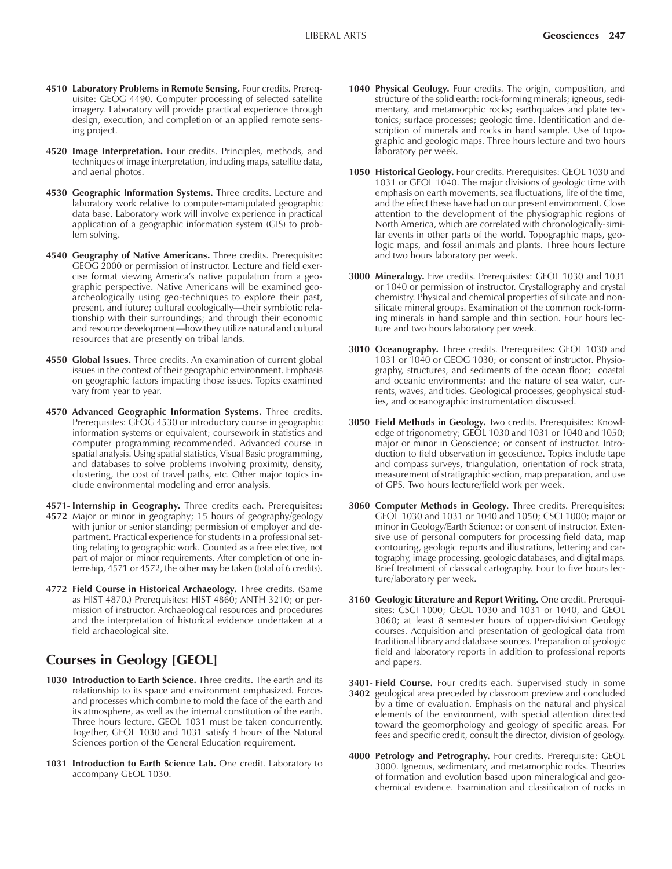- **4510 Laboratory Problems in Remote Sensing.** Four credits. Prerequisite: GEOG 4490. Computer processing of selected satellite imagery. Laboratory will provide practical experience through design, execution, and completion of an applied remote sensing project.
- **4520 Image Interpretation.** Four credits. Principles, methods, and techniques of image interpretation, including maps, satellite data, and aerial photos.
- **4530 Geographic Information Systems.** Three credits. Lecture and laboratory work relative to computer-manipulated geographic data base. Laboratory work will involve experience in practical application of a geographic information system (GIS) to problem solving.
- **4540 Geography of Native Americans.** Three credits. Prerequisite: GEOG 2000 or permission of instructor. Lecture and field exercise format viewing America's native population from a geographic perspective. Native Americans will be examined geoarcheologically using geo-techniques to explore their past, present, and future; cultural ecologically-their symbiotic relationship with their surroundings; and through their economic and resource development—how they utilize natural and cultural resources that are presently on tribal lands.
- **4550 Global Issues.** Three credits. An examination of current global issues in the context of their geographic environment. Emphasis on geographic factors impacting those issues. Topics examined vary from year to year.
- **4570 Advanced Geographic Information Systems.** Three credits. Prerequisites: GEOG 4530 or introductory course in geographic information systems or equivalent; coursework in statistics and computer programming recommended. Advanced course in spatial analysis. Using spatial statistics, Visual Basic programming, and databases to solve problems involving proximity, density, clustering, the cost of travel paths, etc. Other major topics include environmental modeling and error analysis.
- **4571- Internship in Geography.** Three credits each. Prerequisites: **4572** Major or minor in geography; 15 hours of geography/geology with junior or senior standing; permission of employer and department. Practical experience for students in a professional setting relating to geographic work. Counted as a free elective, not part of major or minor requirements. After completion of one internship, 4571 or 4572, the other may be taken (total of 6 credits).
- **4772 Field Course in Historical Archaeology.** Three credits. (Same as HIST 4870.) Prerequisites: HIST 4860; ANTH 3210; or permission of instructor. Archaeological resources and procedures and the interpretation of historical evidence undertaken at a field archaeological site.

## **Courses in Geology [GEOL]**

- **1030 Introduction to Earth Science.** Three credits. The earth and its relationship to its space and environment emphasized. Forces and processes which combine to mold the face of the earth and its atmosphere, as well as the internal constitution of the earth. Three hours lecture. GEOL 1031 must be taken concurrently. Together, GEOL 1030 and 1031 satisfy 4 hours of the Natural Sciences portion of the General Education requirement.
- **1031 Introduction to Earth Science Lab.** One credit. Laboratory to accompany GEOL 1030.
- **1040 Physical Geology.** Four credits. The origin, composition, and structure of the solid earth: rock-forming minerals; igneous, sedimentary, and metamorphic rocks; earthquakes and plate tectonics; surface processes; geologic time. Identification and description of minerals and rocks in hand sample. Use of topographic and geologic maps. Three hours lecture and two hours laboratory per week.
- **1050 Historical Geology.** Four credits. Prerequisites: GEOL 1030 and 1031 or GEOL 1040. The major divisions of geologic time with emphasis on earth movements, sea fluctuations, life of the time, and the effect these have had on our present environment. Close attention to the development of the physiographic regions of North America, which are correlated with chronologically-similar events in other parts of the world. Topographic maps, geologic maps, and fossil animals and plants. Three hours lecture and two hours laboratory per week.
- **3000 Mineralogy.** Five credits. Prerequisites: GEOL 1030 and 1031 or 1040 or permission of instructor. Crystallography and crystal chemistry. Physical and chemical properties of silicate and nonsilicate mineral groups. Examination of the common rock-forming minerals in hand sample and thin section. Four hours lecture and two hours laboratory per week.
- **3010 Oceanography.** Three credits. Prerequisites: GEOL 1030 and 1031 or 1040 or GEOG 1030; or consent of instructor. Physiography, structures, and sediments of the ocean floor; coastal and oceanic environments; and the nature of sea water, currents, waves, and tides. Geological processes, geophysical studies, and oceanographic instrumentation discussed.
- **3050 Field Methods in Geology.** Two credits. Prerequisites: Knowledge of trigonometry; GEOL 1030 and 1031 or 1040 and 1050; major or minor in Geoscience; or consent of instructor. Introduction to field observation in geoscience. Topics include tape and compass surveys, triangulation, orientation of rock strata, measurement of stratigraphic section, map preparation, and use of GPS. Two hours lecture/field work per week.
- **3060 Computer Methods in Geology**. Three credits. Prerequisites: GEOL 1030 and 1031 or 1040 and 1050; CSCI 1000; major or minor in Geology/Earth Science; or consent of instructor. Extensive use of personal computers for processing field data, map contouring, geologic reports and illustrations, lettering and cartography, image processing, geologic databases, and digital maps. Brief treatment of classical cartography. Four to five hours lecture/laboratory per week.
- **3160 Geologic Literature and Report Writing.** One credit. Prerequisites: CSCI 1000; GEOL 1030 and 1031 or 1040, and GEOL 3060; at least 8 semester hours of upper-division Geology courses. Acquisition and presentation of geological data from traditional library and database sources. Preparation of geologic field and laboratory reports in addition to professional reports and papers.
- **3401- Field Course.** Four credits each. Supervised study in some **3402** geological area preceded by classroom preview and concluded by a time of evaluation. Emphasis on the natural and physical elements of the environment, with special attention directed toward the geomorphology and geology of specific areas. For fees and specific credit, consult the director, division of geology.
- **4000 Petrology and Petrography.** Four credits. Prerequisite: GEOL 3000. Igneous, sedimentary, and metamorphic rocks. Theories of formation and evolution based upon mineralogical and geochemical evidence. Examination and classification of rocks in